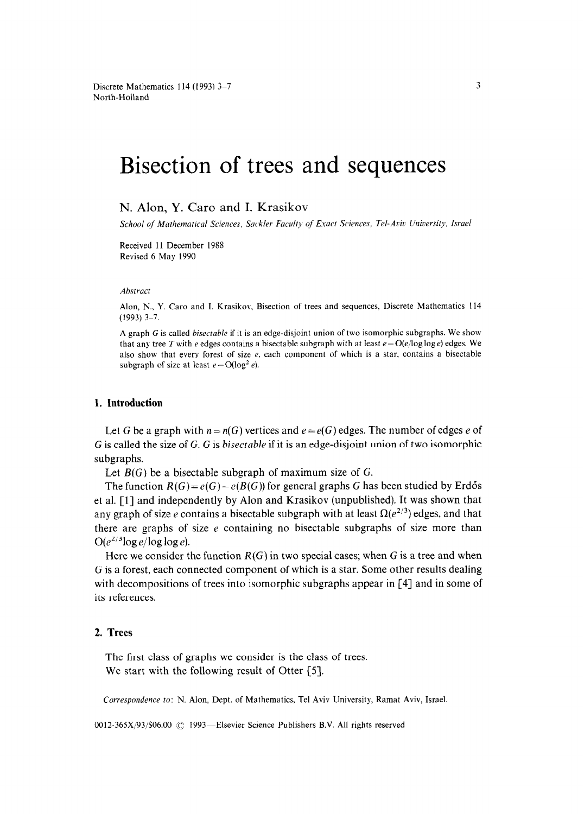# Bisection of trees and sequences

N. Alon, Y. Caro and I. Krasikov

*School of Mathematical Sciences, Suckler Faculty of Exact Sciences, Tel-Aaic University, Israel* 

Received 11 December 1988 Revised 6 May 1990

#### *Abstract*

Alon, N., Y. Caro and I. Krasikov, Bisection of trees and sequences, Discrete Mathematics 114  $(1993)$  3-7.

A graph G is called *bisectable* if it is an edge-disjoint union of two isomorphic subgraphs. We show that any tree T with e edges contains a bisectable subgraph with at least  $e - O(e/\log \log e)$  edges. We also show that every forest of size  $e$ , each component of which is a star, contains a bisectable subgraph of size at least  $e - O(\log^2 e)$ .

## **1. Introduction**

Let G be a graph with  $n = n(G)$  vertices and  $e = e(G)$  edges. The number of edges e of G is called the size of G. G is bisectable if it is an edge-disjoint union of two isomorphic subgraphs.

Let  $B(G)$  be a bisectable subgraph of maximum size of G.

The function  $R(G) = e(G) - e(B(G))$  for general graphs G has been studied by Erdős et al. [l] and independently by Alon and Krasikov (unpublished). It was shown that any graph of size e contains a bisectable subgraph with at least  $\Omega(e^{2/3})$  edges, and that there are graphs of size  $e$  containing no bisectable subgraphs of size more than  $O(e^{2/3} \log e / \log \log e)$ .

Here we consider the function  $R(G)$  in two special cases; when G is a tree and when G is a forest, each connected component of which is a star. Some other results dealing with decompositions of trees into isomorphic subgraphs appear in [4] and in some of its references.

# 2. Trees

The first class of graphs we consider is the class of trees. We start with the following result of Otter  $[5]$ .

*Correspondence to: N.* Alon, Dept. of Mathematics, Tel Aviv University, Ramat Aviv, Israel.

0012-365X/93/\$06.00 © 1993-Elsevier Science Publishers B.V. All rights reserved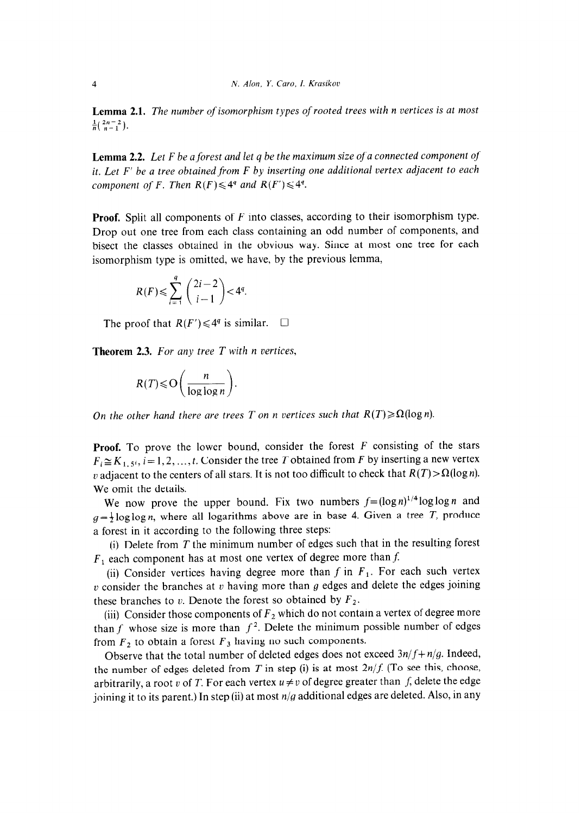**Lemma 2.1.** *The number of isomorphism types of rooted trees with n vertices is at most*   $\frac{1}{n}(\frac{2n-2}{n-1}).$ 

**Lemma 2.2.** *Let F be a forest and let q be the maximum size of a connected component of it. Let F' be a tree obtained from F by inserting one additional vertex adjacent to each component of F. Then*  $R(F) \leq 4^q$  *and*  $R(F') \leq 4^q$ *.* 

**Proof.** Split all components of *F* into classes, according to their isomorphism type. Drop out one tree from each class containing an odd number of components, and bisect the classes obtained in the obvious way. Since at most one tree for each isomorphism type is omitted, we have, by the previous lemma,

$$
R(F) \leq \sum_{i=1}^{q} \binom{2i-2}{i-1} < 4^q.
$$

The proof that  $R(F') \leq 4^q$  is similar.  $\Box$ 

**Theorem 2.3.** *For any tree T with n vertices,* 

$$
R(T) \leqslant \mathcal{O}\bigg(\frac{n}{\log\log n}\bigg).
$$

*On the other hand there are trees T on n vertices such that*  $R(T) \ge \Omega(\log n)$ .

**Proof.** To prove the lower bound, consider the forest *F* consisting of the stars  $F_i \cong K_{1, 5^i}$ ,  $i = 1, 2, ..., t$ . Consider the tree *T* obtained from *F* by inserting a new vertex v adjacent to the centers of all stars. It is not too difficult to check that  $R(T) > \Omega(\log n)$ . We omit the details.

We now prove the upper bound. Fix two numbers  $f=(\log n)^{1/4}\log\log n$  and  $g = \frac{1}{2} \log \log n$ , where all logarithms above are in base 4. Given a tree *T*, produce a forest in it according to the following three steps:

(i) Delete from *T* the minimum number of edges such that in the resulting forest  $F_1$  each component has at most one vertex of degree more than  $f$ .

(ii) Consider vertices having degree more than  $f$  in  $F_1$ . For each such vertex v consider the branches at v having more than g edges and delete the edges joining these branches to  $v$ . Denote the forest so obtained by  $F_2$ .

(iii) Consider those components of  $F_2$  which do not contain a vertex of degree more than f whose size is more than  $f^2$ . Delete the minimum possible number of edges from  $F_2$  to obtain a forest  $F_3$  having no such components.

Observe that the total number of deleted edges does not exceed *3n/f+ n/g.* Indeed, the number of edges deleted from  $T$  in step (i) is at most  $2n/f$ . (To see this, choose, arbitrarily, a root v of T. For each vertex  $u \neq v$  of degree greater than f, delete the edge joining it to its parent.) In step (ii) at most *n/g* additional edges are deleted. Also, in any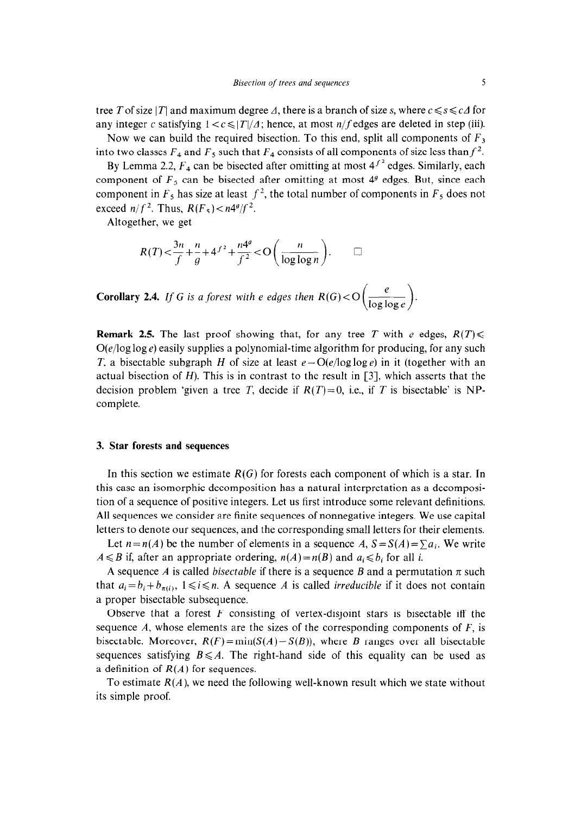tree T of size |T| and maximum degree  $\Delta$ , there is a branch of size s, where  $c \leq s \leq c\Delta$  for any integer c satisfying  $1 < c \le |T|/A$ ; hence, at most *n*/f edges are deleted in step (iii).

Now we can build the required bisection. To this end, split all components of  $F_3$ into two classes  $F_4$  and  $F_5$  such that  $F_4$  consists of all components of size less than  $f^2$ .

By Lemma 2.2,  $F_4$  can be bisected after omitting at most  $4^{f^2}$  edges. Similarly, each component of  $F_5$  can be bisected after omitting at most  $4<sup>g</sup>$  edges. But, since each component in  $F_5$  has size at least  $f^2$ , the total number of components in  $F_5$  does not exceed  $n/f^2$ . Thus,  $R(F_5) < n4^g/f^2$ .

Altogether, we get

$$
R(T) < \frac{3n}{f} + \frac{n}{g} + 4^{f^2} + \frac{n4^g}{f^2} < \mathcal{O}\left(\frac{n}{\log\log n}\right). \qquad \Box
$$

**Corollary 2.4.** If G is a forest with e edges then  $R(G) < O\left(\frac{e}{\log \log e}\right)$ .

**Remark 2.5.** The last proof showing that, for any tree *T* with *e* edges,  $R(T)$  $O(e/\log \log e)$  easily supplies a polynomial-time algorithm for producing, for any such *T*, a bisectable subgraph *H* of size at least  $e - O(e/\log \log e)$  in it (together with an actual bisection of  $H$ ). This is in contrast to the result in  $\lceil 3 \rceil$ , which asserts that the decision problem 'given a tree *T*, decide if  $R(T)=0$ , i.e., if *T* is bisectable' is NPcomplete.

## **3. Star forests and sequences**

In this section we estimate *R(G)* for forests each component of which is a star. In this case an isomorphic decomposition has a natural interpretation as a decomposition of a sequence of positive integers. Let us first introduce some relevant definitions. All sequences we consider are finite sequences of nonnegative integers. We use capital letters to denote our sequences, and the corresponding small letters for their elements.

Let  $n=n(A)$  be the number of elements in a sequence A,  $S=S(A)=\sum a_i$ . We write  $A \leq B$  if, after an appropriate ordering,  $n(A) = n(B)$  and  $a_i \leq b_i$  for all i.

A sequence *A* is called *bisectable* if there is a sequence *B* and a permutation  $\pi$  such that  $a_i = b_i + b_{\pi(i)}$ ,  $1 \le i \le n$ . A sequence *A* is called *irreducible* if it does not contain a proper bisectable subsequence.

Observe that a forest *F* consisting of vertex-disjoint stars is bisectable iff the sequence *A,* whose elements are the sizes of the corresponding components of *F,* is bisectable. Moreover,  $R(F) = min(S(A) - S(B))$ , where *B* ranges over all bisectable sequences satisfying  $B \leq A$ . The right-hand side of this equality can be used as a definition of *R(A)* for sequences.

To estimate  $R(A)$ , we need the following well-known result which we state without its simple proof.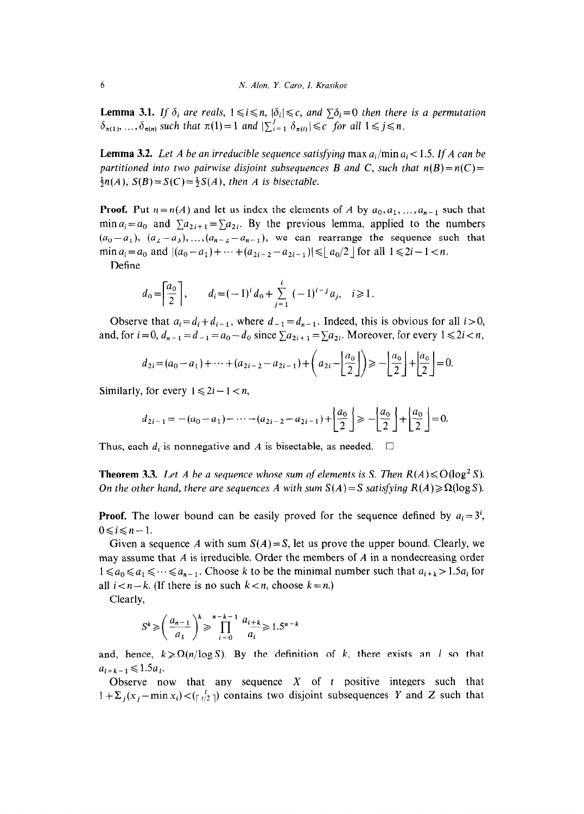**Lemma 3.1.** If  $\delta_i$  are reals,  $1 \le i \le n$ ,  $|\delta_i| \le c$ , and  $\sum \delta_i = 0$  then there is a permutation  $\delta_{\pi(1)}, \ldots, \delta_{\pi(n)}$  such that  $\pi(1)=1$  and  $\sum_{i=1}^{j} \delta_{\pi(i)} \leq c$  for all  $1 \leq j \leq n$ .

**Lemma 3.2.** Let A be an irreducible sequence satisfying  $\max a_i / \min a_i < 1.5$ . If A can be *partitioned into two pairwise disjoint subsequences B and C, such that*  $n(B)=n(C)=$  $\frac{1}{2}n(A)$ ,  $S(B) = S(C) = \frac{1}{2}S(A)$ , then A is bisectable.

**Proof.** Put  $n = n(A)$  and let us index the elements of *A* by  $a_0, a_1, ..., a_{n-1}$  such that min  $a_i = a_0$  and  $\sum a_{2i+1} = \sum a_{2i}$ . By the previous lemma, applied to the numbers  $(a_0-a_1), (a_2-a_3), ..., (a_{n-2}-a_{n-1}),$  we can rearrange the sequence such that min  $a_i = a_0$  and  $|(a_0 - a_1) + \cdots + (a_{2i-2} - a_{2i-1})| \le |a_0/2|$  for all  $1 \le 2i - 1 < n$ .

Define

$$
d_0 = \left| \frac{a_0}{2} \right|, \qquad d_i = (-1)^i \, d_0 + \sum_{j=1}^i \, (-1)^{i-j} \, a_j, \quad i \geq 1.
$$

Observe that  $a_i = d_i + d_{i-1}$ , where  $d_{-1} = d_{n-1}$ . Indeed, this is obvious for all  $i > 0$ , and, for  $i=0$ ,  $d_{n-1}=d_{-1}=a_0-d_0$  since  $\sum a_{2i+1}=\sum a_{2i}$ . Moreover, for every  $1 \le 2i < n$ ,

$$
d_{2i} = (a_0 - a_1) + \dots + (a_{2i-2} - a_{2i-1}) + \left(a_{2i} - \left\lfloor \frac{a_0}{2} \right\rfloor\right) \ge -\left\lfloor \frac{a_0}{2} \right\rfloor + \left\lfloor \frac{a_0}{2} \right\rfloor = 0.
$$

Similarly, for every  $1 \le 2i - 1 < n$ ,

$$
d_{2i-1} = -(a_0 - a_1) - \dots - (a_{2i-2} - a_{2i-1}) + \left\lfloor \frac{a_0}{2} \right\rfloor \ge - \left\lfloor \frac{a_0}{2} \right\rfloor + \left\lfloor \frac{a_0}{2} \right\rfloor = 0.
$$

Thus, each  $d_i$  is nonnegative and A is bisectable, as needed.  $\Box$ 

**Theorem 3.3.** Let A be a sequence whose sum of elements is S. Then  $R(A) \leq O(\log^2 S)$ . *On the other hand, there are sequences A with sum*  $S(A) = S$  *satisfying*  $R(A) \ge \Omega(\log S)$ .

**Proof.** The lower bound can be easily proved for the sequence defined by  $a_i = 3^i$ ,  $0 \le i \le n-1$ .

Given a sequence *A* with sum  $S(A) = S$ , let us prove the upper bound. Clearly, we may assume that *A* is irreducible. Order the members of *A* in a nondecreasing order  $1\leq a_0\leq a_1\leq \cdots \leq a_{n-1}$ . Choose *k* to be the minimal number such that  $a_{i+k} > 1.5a_i$  for all  $i < n-k$ . (If there is no such  $k < n$ , choose  $k = n$ .)

Clearly,

$$
S^k \geqslant \left(\frac{a_{n-1}}{a_1}\right)^k \geqslant \prod_{i=0}^{n-k-1} \frac{a_{i+k}}{a_i} \geqslant 1.5^{n-k}
$$

and, hence,  $k \ge \Omega(n/\log S)$ . By the definition of *k*, there exists an *l* so that  $a_{l+k-1} \leq 1.5a_l$ .

Observe now that any sequence  $X$  of  $t$  positive integers such that  $1 + \sum_j (x_j - \min x_i) < (f \circ g)$  contains two disjoint subsequences Y and Z such that